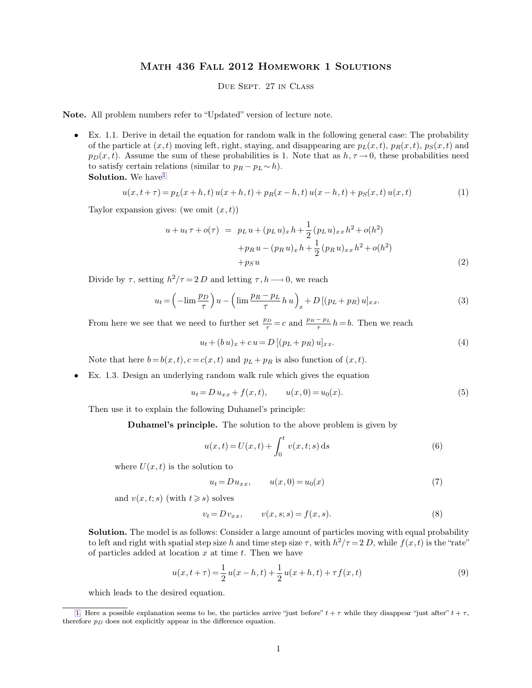## Math 436 Fall 2012 Homework 1 Solutions

## <span id="page-0-0"></span>Due Sept. 27 in Class

**Note.** All problem numbers refer to "Updated" version of lecture note.

• Ex. 1.1. Derive in detail the equation for random walk in the following general case: The probability of the particle at  $(x, t)$  moving left, right, staying, and disappearing are  $p_L(x, t)$ ,  $p_R(x, t)$ ,  $p_S(x, t)$  and  $p_D(x, t)$ . Assume the sum of these probabilities is 1. Note that as  $h, \tau \to 0$ , these probabilities need to satisfy certain relations (similar to  $p_R - p_L \sim h$ ). **Solution** 

$$
u(x, t + \tau) = p_L(x + h, t) u(x + h, t) + p_R(x - h, t) u(x - h, t) + p_S(x, t) u(x, t)
$$
\n(1)

Taylor expansion gives: (we omit  $(x, t)$ )

$$
u + u_t \tau + o(\tau) = p_L u + (p_L u)_x h + \frac{1}{2} (p_L u)_{xx} h^2 + o(h^2)
$$
  
+ 
$$
p_R u - (p_R u)_x h + \frac{1}{2} (p_R u)_{xx} h^2 + o(h^2)
$$
  
+ 
$$
p_S u
$$
 (2)

Divide by  $\tau$ , setting  $h^2/\tau = 2 D$  and letting  $\tau, h \longrightarrow 0$ , we reach

$$
u_t = \left(-\lim \frac{p_D}{\tau}\right)u - \left(\lim \frac{p_R - p_L}{\tau} h u\right)_x + D\left[(p_L + p_R) u\right]_{xx}.\tag{3}
$$

From here we see that we need to further set  $\frac{p_D}{\tau} = c$  and  $\frac{p_R - p_L}{\tau} h = b$ . Then we reach

$$
u_t + (b u)_x + c u = D [(p_L + p_R) u]_{xx}.
$$
\n(4)

Note that here  $b = b(x, t)$ ,  $c = c(x, t)$  and  $p<sub>L</sub> + p<sub>R</sub>$  is also function of  $(x, t)$ .

Ex. 1.3. Design an underlying random walk rule which gives the equation

$$
u_t = D u_{xx} + f(x, t), \qquad u(x, 0) = u_0(x). \tag{5}
$$

Then use it to explain the following Duhamel's principle:

**Duhamel's principle.** The solution to the above problem is given by

$$
u(x,t) = U(x,t) + \int_0^t v(x,t;s) \,ds \tag{6}
$$

where  $U(x, t)$  is the solution to

$$
u_t = Du_{xx}, \qquad u(x,0) = u_0(x) \tag{7}
$$

and  $v(x, t; s)$  (with  $t \geq s$ ) solves

$$
v_t = D v_{xx}, \qquad v(x, s; s) = f(x, s). \tag{8}
$$

**Solution.** The model is as follows: Consider a large amount of particles moving with equal probability to left and right with spatial step size h and time step size  $\tau$ , with  $h^2/\tau = 2 D$ , while  $f(x, t)$  is the "rate" of particles added at location  $x$  at time  $t$ . Then we have

$$
u(x, t + \tau) = \frac{1}{2}u(x - h, t) + \frac{1}{2}u(x + h, t) + \tau f(x, t)
$$
\n(9)

which leads to the desired equation.

[<sup>1.</sup>](#page-0-0) Here a possible explanation seems to be, the particles arrive "just before"  $t + \tau$  while they disappear "just after"  $t + \tau$ , therefore  $p_D$  does not explicitly appear in the difference equation.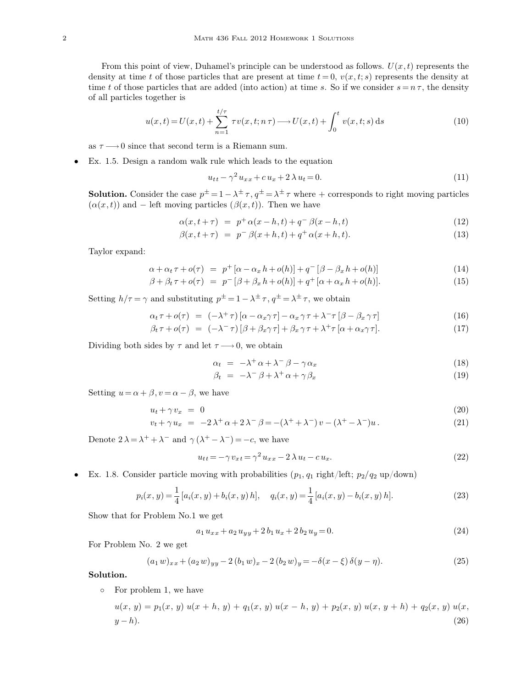From this point of view, Duhamel's principle can be understood as follows.  $U(x, t)$  represents the density at time t of those particles that are present at time  $t = 0$ ,  $v(x, t; s)$  represents the density at time t of those particles that are added (into action) at time s. So if we consider  $s = n \tau$ , the density of all particles together is

$$
u(x,t) = U(x,t) + \sum_{n=1}^{t/\tau} \tau v(x,t;n\tau) \longrightarrow U(x,t) + \int_0^t v(x,t;s) \,ds \tag{10}
$$

as  $\tau \longrightarrow 0$  since that second term is a Riemann sum.

• Ex. 1.5. Design a random walk rule which leads to the equation

$$
u_{tt} - \gamma^2 u_{xx} + c u_x + 2 \lambda u_t = 0.
$$
 (11)

**Solution.** Consider the case  $p^{\pm} = 1 - \lambda^{\pm} \tau$ ,  $q^{\pm} = \lambda^{\pm} \tau$  where + corresponds to right moving particles  $(\alpha(x, t))$  and – left moving particles  $(\beta(x, t))$ . Then we have

$$
\alpha(x, t + \tau) = p^+ \alpha(x - h, t) + q^- \beta(x - h, t) \tag{12}
$$

$$
\beta(x, t + \tau) = p^{-} \beta(x + h, t) + q^{+} \alpha(x + h, t).
$$
\n(13)

Taylor expand:

$$
\alpha + \alpha_t \tau + o(\tau) = p^+ [\alpha - \alpha_x h + o(h)] + q^- [\beta - \beta_x h + o(h)] \tag{14}
$$

$$
\beta + \beta_t \tau + o(\tau) = p^{-} [\beta + \beta_x h + o(h)] + q^{+} [\alpha + \alpha_x h + o(h)]. \qquad (15)
$$

Setting  $h/\tau = \gamma$  and substituting  $p^{\pm} = 1 - \lambda^{\pm} \tau$ ,  $q^{\pm} = \lambda^{\pm} \tau$ , we obtain

$$
\alpha_t \tau + o(\tau) = (-\lambda^+ \tau) [\alpha - \alpha_x \gamma \tau] - \alpha_x \gamma \tau + \lambda^- \tau [\beta - \beta_x \gamma \tau]
$$
\n(16)

$$
\beta_t \tau + o(\tau) = (-\lambda^- \tau) [\beta + \beta_x \gamma \tau] + \beta_x \gamma \tau + \lambda^+ \tau [\alpha + \alpha_x \gamma \tau]. \tag{17}
$$

Dividing both sides by  $\tau$  and let  $\tau \longrightarrow 0$ , we obtain

$$
\alpha_t = -\lambda^+ \alpha + \lambda^- \beta - \gamma \alpha_x \tag{18}
$$

$$
\beta_t = -\lambda^- \beta + \lambda^+ \alpha + \gamma \beta_x \tag{19}
$$

Setting  $u = \alpha + \beta$ ,  $v = \alpha - \beta$ , we have

$$
u_t + \gamma v_x = 0 \tag{20}
$$

$$
v_t + \gamma u_x = -2\lambda^+ \alpha + 2\lambda^- \beta = -(\lambda^+ + \lambda^-) v - (\lambda^+ - \lambda^-) u. \tag{21}
$$

Denote  $2\lambda = \lambda^+ + \lambda^-$  and  $\gamma(\lambda^+ - \lambda^-) = -c$ , we have

$$
u_{tt} = -\gamma v_{xt} = \gamma^2 u_{xx} - 2\lambda u_t - c u_x.
$$
\n
$$
(22)
$$

• Ex. 1.8. Consider particle moving with probabilities  $(p_1, q_1 \text{ right/left}; p_2/q_2 \text{ up/down})$ 

$$
p_i(x, y) = \frac{1}{4} [a_i(x, y) + b_i(x, y) h], \quad q_i(x, y) = \frac{1}{4} [a_i(x, y) - b_i(x, y) h].
$$
 (23)

Show that for Problem No.1 we get

$$
a_1 u_{xx} + a_2 u_{yy} + 2 b_1 u_x + 2 b_2 u_y = 0.
$$
\n(24)

For Problem No. 2 we get

$$
(a_1 w)_{xx} + (a_2 w)_{yy} - 2 (b_1 w)_x - 2 (b_2 w)_y = -\delta(x - \xi) \delta(y - \eta).
$$
 (25)

**Solution.**

◦ For problem 1, we have

$$
u(x, y) = p_1(x, y) u(x + h, y) + q_1(x, y) u(x - h, y) + p_2(x, y) u(x, y + h) + q_2(x, y) u(x, y - h).
$$
\n(26)